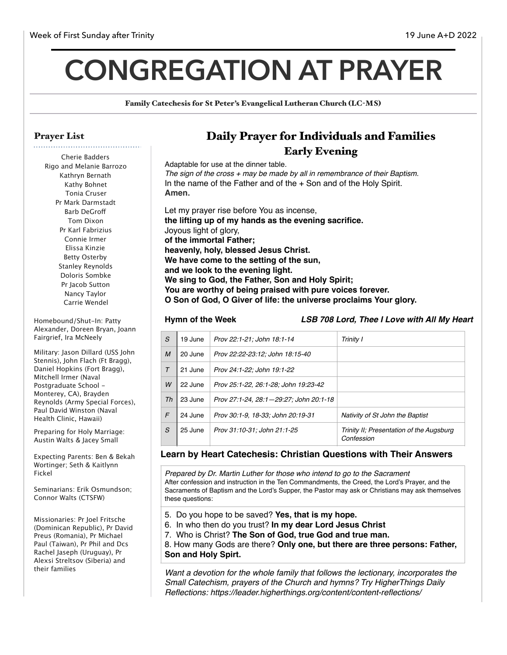# **CONGREGATION AT PRAYER**

Family Catechesis for St Peter's Evangelical Lutheran Church (LC-MS)

### Prayer List

Cherie Badders Rigo and Melanie Barrozo Kathryn Bernath Kathy Bohnet Tonia Cruser Pr Mark Darmstadt Barb DeGrof Tom Dixon Pr Karl Fabrizius Connie Irmer Elissa Kinzie Betty Osterby Stanley Reynolds Doloris Sombke Pr Jacob Sutton Nancy Taylor Carrie Wendel

Homebound/Shut-In: Patty Alexander, Doreen Bryan, Joann Fairgrief, Ira McNeely

Military: Jason Dillard (USS John Stennis), John Flach (Ft Bragg), Daniel Hopkins (Fort Bragg), Mitchell Irmer (Naval Postgraduate School - Monterey, CA), Brayden Reynolds (Army Special Forces), Paul David Winston (Naval Health Clinic, Hawaii)

Preparing for Holy Marriage: Austin Walts & Jacey Small

Expecting Parents: Ben & Bekah Wortinger; Seth & Kaitlynn Fickel

Seminarians: Erik Osmundson; Connor Walts (CTSFW)

Missionaries: Pr Joel Fritsche (Dominican Republic), Pr David Preus (Romania), Pr Michael Paul (Taiwan), Pr Phil and Dcs Rachel Jaseph (Uruguay), Pr Alexsi Streltsov (Siberia) and their families

# Daily Prayer for Individuals and Families Early Evening

Adaptable for use at the dinner table. *The sign of the cross + may be made by all in remembrance of their Baptism.* In the name of the Father and of the + Son and of the Holy Spirit. **Amen.** Let my prayer rise before You as incense, **the lifting up of my hands as the evening sacrifice.**

Joyous light of glory, **of the immortal Father; heavenly, holy, blessed Jesus Christ. We have come to the setting of the sun, and we look to the evening light. We sing to God, the Father, Son and Holy Spirit; You are worthy of being praised with pure voices forever. O Son of God, O Giver of life: the universe proclaims Your glory.**

**Hymn of the Week** *LSB 708 Lord, Thee I Love with All My Heart*

| S      | 19 June | Prov 22:1-21; John 18:1-14             | Trinity I                                              |
|--------|---------|----------------------------------------|--------------------------------------------------------|
| M      | 20 June | Prov 22:22-23:12; John 18:15-40        |                                                        |
| $\tau$ | 21 June | Prov 24:1-22: John 19:1-22             |                                                        |
| W      | 22 June | Prov 25:1-22, 26:1-28; John 19:23-42   |                                                        |
| Th     | 23 June | Prov 27:1-24, 28:1-29:27; John 20:1-18 |                                                        |
| F      | 24 June | Prov 30:1-9, 18-33: John 20:19-31      | Nativity of St John the Baptist                        |
| S      | 25 June | Prov 31:10-31; John 21:1-25            | Trinity II; Presentation of the Augsburg<br>Confession |

#### **Learn by Heart Catechesis: Christian Questions with Their Answers**

*Prepared by Dr. Martin Luther for those who intend to go to the Sacrament* After confession and instruction in the Ten Commandments, the Creed, the Lord's Prayer, and the Sacraments of Baptism and the Lord's Supper, the Pastor may ask or Christians may ask themselves these questions:

- 5. Do you hope to be saved? **Yes, that is my hope.**
- 6. In who then do you trust? **In my dear Lord Jesus Christ**
- 7. Who is Christ? **The Son of God, true God and true man.**

8. How many Gods are there? **Only one, but there are three persons: Father, Son and Holy Spirt.**

*Want a devotion for the whole family that follows the lectionary, incorporates the Small Catechism, prayers of the Church and hymns? Try HigherThings Daily Reflections: https://leader.higherthings.org/content/content-reflections/*